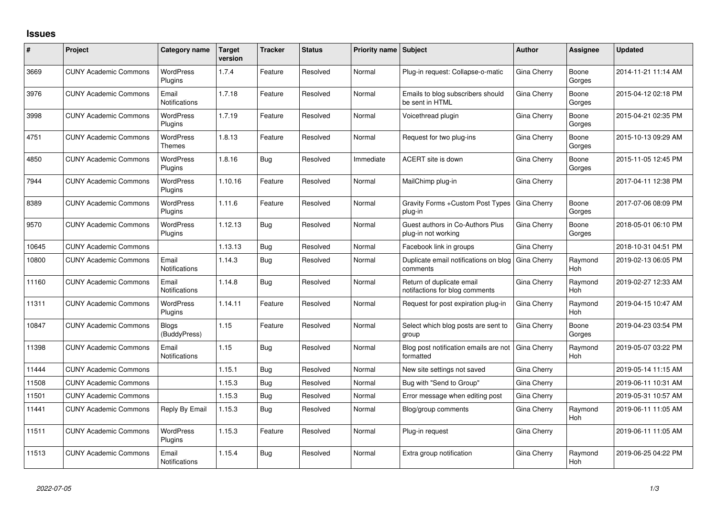## **Issues**

| #     | Project                      | Category name                 | <b>Target</b><br>version | <b>Tracker</b> | <b>Status</b> | <b>Priority name Subject</b> |                                                             | <b>Author</b> | Assignee              | <b>Updated</b>      |
|-------|------------------------------|-------------------------------|--------------------------|----------------|---------------|------------------------------|-------------------------------------------------------------|---------------|-----------------------|---------------------|
| 3669  | <b>CUNY Academic Commons</b> | <b>WordPress</b><br>Plugins   | 1.7.4                    | Feature        | Resolved      | Normal                       | Plug-in request: Collapse-o-matic                           | Gina Cherry   | Boone<br>Gorges       | 2014-11-21 11:14 AM |
| 3976  | <b>CUNY Academic Commons</b> | Email<br><b>Notifications</b> | 1.7.18                   | Feature        | Resolved      | Normal                       | Emails to blog subscribers should<br>be sent in HTML        | Gina Cherry   | Boone<br>Gorges       | 2015-04-12 02:18 PM |
| 3998  | <b>CUNY Academic Commons</b> | <b>WordPress</b><br>Plugins   | 1.7.19                   | Feature        | Resolved      | Normal                       | Voicethread plugin                                          | Gina Cherry   | Boone<br>Gorges       | 2015-04-21 02:35 PM |
| 4751  | <b>CUNY Academic Commons</b> | <b>WordPress</b><br>Themes    | 1.8.13                   | Feature        | Resolved      | Normal                       | Request for two plug-ins                                    | Gina Cherry   | Boone<br>Gorges       | 2015-10-13 09:29 AM |
| 4850  | <b>CUNY Academic Commons</b> | <b>WordPress</b><br>Plugins   | 1.8.16                   | Bug            | Resolved      | Immediate                    | ACERT site is down                                          | Gina Cherry   | Boone<br>Gorges       | 2015-11-05 12:45 PM |
| 7944  | <b>CUNY Academic Commons</b> | <b>WordPress</b><br>Plugins   | 1.10.16                  | Feature        | Resolved      | Normal                       | MailChimp plug-in                                           | Gina Cherry   |                       | 2017-04-11 12:38 PM |
| 8389  | <b>CUNY Academic Commons</b> | <b>WordPress</b><br>Plugins   | 1.11.6                   | Feature        | Resolved      | Normal                       | Gravity Forms + Custom Post Types<br>plug-in                | Gina Cherry   | Boone<br>Gorges       | 2017-07-06 08:09 PM |
| 9570  | <b>CUNY Academic Commons</b> | <b>WordPress</b><br>Plugins   | 1.12.13                  | Bug            | Resolved      | Normal                       | Guest authors in Co-Authors Plus<br>plug-in not working     | Gina Cherry   | Boone<br>Gorges       | 2018-05-01 06:10 PM |
| 10645 | <b>CUNY Academic Commons</b> |                               | 1.13.13                  | Bug            | Resolved      | Normal                       | Facebook link in groups                                     | Gina Cherry   |                       | 2018-10-31 04:51 PM |
| 10800 | <b>CUNY Academic Commons</b> | Email<br><b>Notifications</b> | 1.14.3                   | Bug            | Resolved      | Normal                       | Duplicate email notifications on blog<br>comments           | Gina Cherry   | Raymond<br><b>Hoh</b> | 2019-02-13 06:05 PM |
| 11160 | <b>CUNY Academic Commons</b> | Email<br><b>Notifications</b> | 1.14.8                   | Bug            | Resolved      | Normal                       | Return of duplicate email<br>notifactions for blog comments | Gina Cherry   | Raymond<br><b>Hoh</b> | 2019-02-27 12:33 AM |
| 11311 | <b>CUNY Academic Commons</b> | <b>WordPress</b><br>Plugins   | 1.14.11                  | Feature        | Resolved      | Normal                       | Request for post expiration plug-in                         | Gina Cherry   | Raymond<br><b>Hoh</b> | 2019-04-15 10:47 AM |
| 10847 | <b>CUNY Academic Commons</b> | Blogs<br>(BuddyPress)         | 1.15                     | Feature        | Resolved      | Normal                       | Select which blog posts are sent to<br>group                | Gina Cherry   | Boone<br>Gorges       | 2019-04-23 03:54 PM |
| 11398 | <b>CUNY Academic Commons</b> | Email<br><b>Notifications</b> | 1.15                     | Bug            | Resolved      | Normal                       | Blog post notification emails are not<br>formatted          | Gina Cherry   | Raymond<br>Hoh        | 2019-05-07 03:22 PM |
| 11444 | <b>CUNY Academic Commons</b> |                               | 1.15.1                   | <b>Bug</b>     | Resolved      | Normal                       | New site settings not saved                                 | Gina Cherry   |                       | 2019-05-14 11:15 AM |
| 11508 | <b>CUNY Academic Commons</b> |                               | 1.15.3                   | <b>Bug</b>     | Resolved      | Normal                       | Bug with "Send to Group"                                    | Gina Cherry   |                       | 2019-06-11 10:31 AM |
| 11501 | <b>CUNY Academic Commons</b> |                               | 1.15.3                   | <b>Bug</b>     | Resolved      | Normal                       | Error message when editing post                             | Gina Cherry   |                       | 2019-05-31 10:57 AM |
| 11441 | <b>CUNY Academic Commons</b> | Reply By Email                | 1.15.3                   | Bug            | Resolved      | Normal                       | Blog/group comments                                         | Gina Cherry   | Raymond<br><b>Hoh</b> | 2019-06-11 11:05 AM |
| 11511 | <b>CUNY Academic Commons</b> | <b>WordPress</b><br>Plugins   | 1.15.3                   | Feature        | Resolved      | Normal                       | Plug-in request                                             | Gina Cherry   |                       | 2019-06-11 11:05 AM |
| 11513 | <b>CUNY Academic Commons</b> | Email<br>Notifications        | 1.15.4                   | Bug            | Resolved      | Normal                       | Extra group notification                                    | Gina Cherry   | Raymond<br>Hoh        | 2019-06-25 04:22 PM |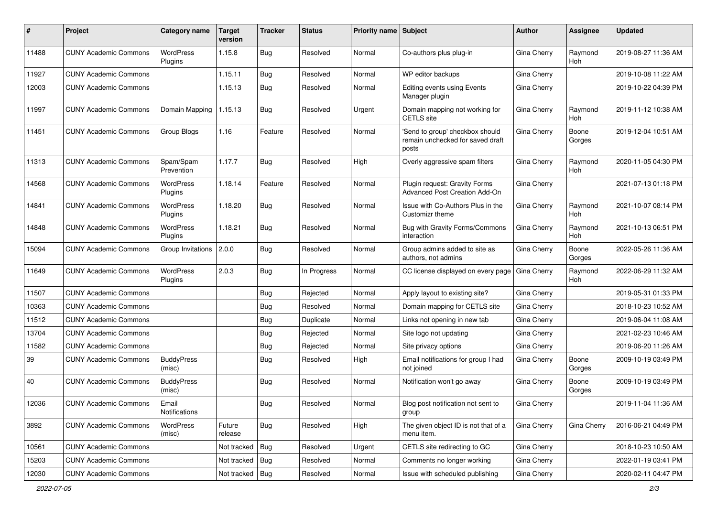| #     | Project                      | Category name               | <b>Target</b><br>version | <b>Tracker</b> | <b>Status</b> | <b>Priority name Subject</b> |                                                                              | Author      | Assignee        | <b>Updated</b>      |
|-------|------------------------------|-----------------------------|--------------------------|----------------|---------------|------------------------------|------------------------------------------------------------------------------|-------------|-----------------|---------------------|
| 11488 | <b>CUNY Academic Commons</b> | WordPress<br>Plugins        | 1.15.8                   | Bug            | Resolved      | Normal                       | Co-authors plus plug-in                                                      | Gina Cherry | Raymond<br>Hoh  | 2019-08-27 11:36 AM |
| 11927 | <b>CUNY Academic Commons</b> |                             | 1.15.11                  | Bug            | Resolved      | Normal                       | WP editor backups                                                            | Gina Cherry |                 | 2019-10-08 11:22 AM |
| 12003 | <b>CUNY Academic Commons</b> |                             | 1.15.13                  | <b>Bug</b>     | Resolved      | Normal                       | Editing events using Events<br>Manager plugin                                | Gina Cherry |                 | 2019-10-22 04:39 PM |
| 11997 | <b>CUNY Academic Commons</b> | Domain Mapping              | 1.15.13                  | <b>Bug</b>     | Resolved      | Urgent                       | Domain mapping not working for<br><b>CETLS</b> site                          | Gina Cherry | Raymond<br>Hoh  | 2019-11-12 10:38 AM |
| 11451 | <b>CUNY Academic Commons</b> | Group Blogs                 | 1.16                     | Feature        | Resolved      | Normal                       | 'Send to group' checkbox should<br>remain unchecked for saved draft<br>posts | Gina Cherry | Boone<br>Gorges | 2019-12-04 10:51 AM |
| 11313 | <b>CUNY Academic Commons</b> | Spam/Spam<br>Prevention     | 1.17.7                   | Bug            | Resolved      | High                         | Overly aggressive spam filters                                               | Gina Cherry | Raymond<br>Hoh  | 2020-11-05 04:30 PM |
| 14568 | <b>CUNY Academic Commons</b> | <b>WordPress</b><br>Plugins | 1.18.14                  | Feature        | Resolved      | Normal                       | Plugin request: Gravity Forms<br>Advanced Post Creation Add-On               | Gina Cherry |                 | 2021-07-13 01:18 PM |
| 14841 | <b>CUNY Academic Commons</b> | <b>WordPress</b><br>Plugins | 1.18.20                  | Bug            | Resolved      | Normal                       | Issue with Co-Authors Plus in the<br>Customizr theme                         | Gina Cherry | Raymond<br>Hoh  | 2021-10-07 08:14 PM |
| 14848 | <b>CUNY Academic Commons</b> | <b>WordPress</b><br>Plugins | 1.18.21                  | Bug            | Resolved      | Normal                       | Bug with Gravity Forms/Commons<br>interaction                                | Gina Cherry | Raymond<br>Hoh  | 2021-10-13 06:51 PM |
| 15094 | <b>CUNY Academic Commons</b> | Group Invitations           | 2.0.0                    | Bug            | Resolved      | Normal                       | Group admins added to site as<br>authors, not admins                         | Gina Cherry | Boone<br>Gorges | 2022-05-26 11:36 AM |
| 11649 | <b>CUNY Academic Commons</b> | WordPress<br>Plugins        | 2.0.3                    | Bug            | In Progress   | Normal                       | CC license displayed on every page                                           | Gina Cherry | Raymond<br>Hoh  | 2022-06-29 11:32 AM |
| 11507 | <b>CUNY Academic Commons</b> |                             |                          | Bug            | Rejected      | Normal                       | Apply layout to existing site?                                               | Gina Cherry |                 | 2019-05-31 01:33 PM |
| 10363 | <b>CUNY Academic Commons</b> |                             |                          | Bug            | Resolved      | Normal                       | Domain mapping for CETLS site                                                | Gina Cherry |                 | 2018-10-23 10:52 AM |
| 11512 | <b>CUNY Academic Commons</b> |                             |                          | Bug            | Duplicate     | Normal                       | Links not opening in new tab                                                 | Gina Cherry |                 | 2019-06-04 11:08 AM |
| 13704 | <b>CUNY Academic Commons</b> |                             |                          | Bug            | Rejected      | Normal                       | Site logo not updating                                                       | Gina Cherry |                 | 2021-02-23 10:46 AM |
| 11582 | <b>CUNY Academic Commons</b> |                             |                          | <b>Bug</b>     | Rejected      | Normal                       | Site privacy options                                                         | Gina Cherry |                 | 2019-06-20 11:26 AM |
| 39    | <b>CUNY Academic Commons</b> | <b>BuddyPress</b><br>(misc) |                          | Bug            | Resolved      | High                         | Email notifications for group I had<br>not joined                            | Gina Cherry | Boone<br>Gorges | 2009-10-19 03:49 PM |
| 40    | <b>CUNY Academic Commons</b> | <b>BuddyPress</b><br>(misc) |                          | Bug            | Resolved      | Normal                       | Notification won't go away                                                   | Gina Cherry | Boone<br>Gorges | 2009-10-19 03:49 PM |
| 12036 | <b>CUNY Academic Commons</b> | Email<br>Notifications      |                          | <b>Bug</b>     | Resolved      | Normal                       | Blog post notification not sent to<br>group                                  | Gina Cherry |                 | 2019-11-04 11:36 AM |
| 3892  | <b>CUNY Academic Commons</b> | WordPress<br>(misc)         | Future<br>release        | Bug            | Resolved      | High                         | The given object ID is not that of a<br>menu item.                           | Gina Cherry | Gina Cherry     | 2016-06-21 04:49 PM |
| 10561 | <b>CUNY Academic Commons</b> |                             | Not tracked              | Bug            | Resolved      | Urgent                       | CETLS site redirecting to GC                                                 | Gina Cherry |                 | 2018-10-23 10:50 AM |
| 15203 | <b>CUNY Academic Commons</b> |                             | Not tracked              | Bug            | Resolved      | Normal                       | Comments no longer working                                                   | Gina Cherry |                 | 2022-01-19 03:41 PM |
| 12030 | <b>CUNY Academic Commons</b> |                             | Not tracked   Bug        |                | Resolved      | Normal                       | Issue with scheduled publishing                                              | Gina Cherry |                 | 2020-02-11 04:47 PM |